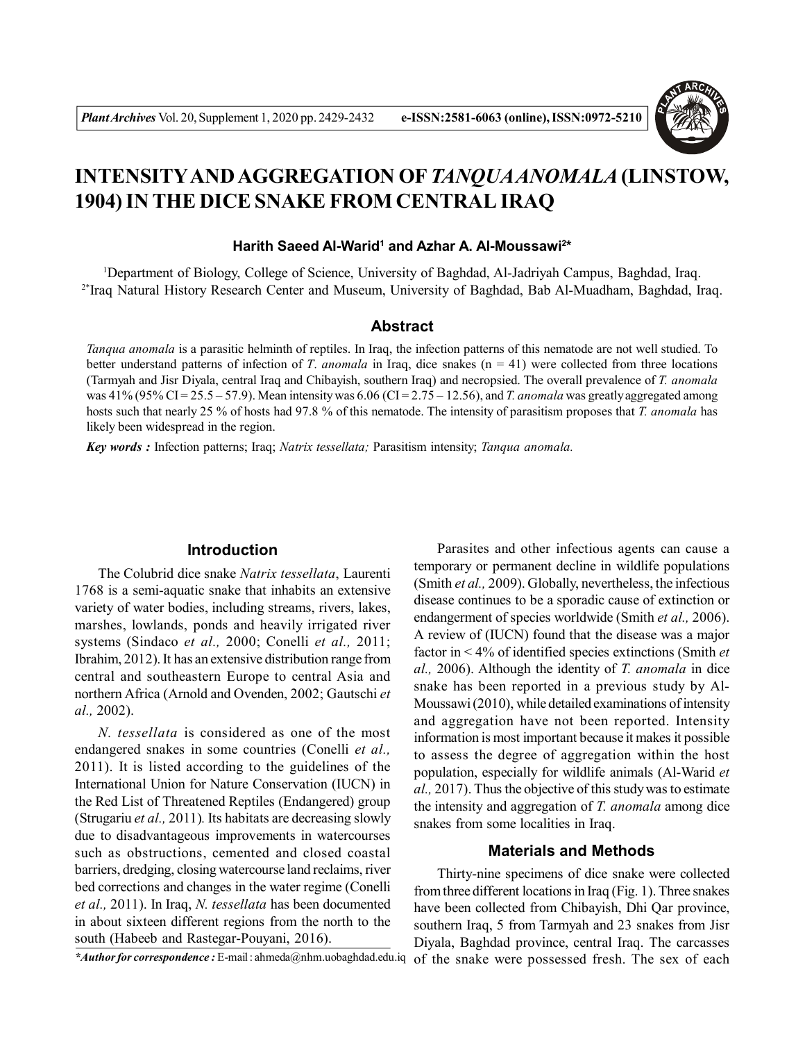

# **INTENSITYAND AGGREGATION OF** *TANQUAANOMALA* **(LINSTOW, 1904) IN THE DICE SNAKE FROM CENTRAL IRAQ**

#### **Harith Saeed Al-Warid<sup>1</sup> and Azhar A. Al-Moussawi<sup>2</sup> \***

<sup>1</sup>Department of Biology, College of Science, University of Baghdad, Al-Jadriyah Campus, Baghdad, Iraq. 2\*Iraq Natural History Research Center and Museum, University of Baghdad, Bab Al-Muadham, Baghdad, Iraq.

#### **Abstract**

*Tanqua anomala* is a parasitic helminth of reptiles. In Iraq, the infection patterns of this nematode are not well studied. To better understand patterns of infection of *T*. *anomala* in Iraq, dice snakes (n = 41) were collected from three locations (Tarmyah and Jisr Diyala, central Iraq and Chibayish, southern Iraq) and necropsied. The overall prevalence of *T. anomala* was 41% (95% CI = 25.5 – 57.9). Mean intensity was 6.06 (CI = 2.75 – 12.56), and *T. anomala* was greatly aggregated among hosts such that nearly 25 % of hosts had 97.8 % of this nematode. The intensity of parasitism proposes that *T. anomala* has likely been widespread in the region.

*Key words :* Infection patterns; Iraq; *Natrix tessellata;* Parasitism intensity; *Tanqua anomala.*

## **Introduction**

The Colubrid dice snake *Natrix tessellata*, Laurenti 1768 is a semi-aquatic snake that inhabits an extensive variety of water bodies, including streams, rivers, lakes, marshes, lowlands, ponds and heavily irrigated river systems (Sindaco *et al.,* 2000; Conelli *et al.,* 2011; Ibrahim, 2012). It has an extensive distribution range from central and southeastern Europe to central Asia and northern Africa (Arnold and Ovenden, 2002; Gautschi *et al.,* 2002).

*N. tessellata* is considered as one of the most endangered snakes in some countries (Conelli *et al.,* 2011). It is listed according to the guidelines of the International Union for Nature Conservation (IUCN) in the Red List of Threatened Reptiles (Endangered) group (Strugariu *et al.,* 2011)*.* Its habitats are decreasing slowly due to disadvantageous improvements in watercourses such as obstructions, cemented and closed coastal barriers, dredging, closing watercourse land reclaims, river bed corrections and changes in the water regime (Conelli *et al.,* 2011). In Iraq, *N. tessellata* has been documented in about sixteen different regions from the north to the south (Habeeb and Rastegar-Pouyani, 2016).

*\*Author for correspondence :* E-mail : ahmeda@nhm.uobaghdad.edu.iq

Parasites and other infectious agents can cause a temporary or permanent decline in wildlife populations (Smith *et al.,* 2009). Globally, nevertheless, the infectious disease continues to be a sporadic cause of extinction or endangerment of species worldwide (Smith *et al.,* 2006). A review of (IUCN) found that the disease was a major factor in < 4% of identified species extinctions (Smith *et al.,* 2006). Although the identity of *T. anomala* in dice snake has been reported in a previous study by Al-Moussawi (2010), while detailed examinations of intensity and aggregation have not been reported. Intensity information is most important because it makes it possible to assess the degree of aggregation within the host population, especially for wildlife animals (Al-Warid *et al.,* 2017). Thus the objective of this study was to estimate the intensity and aggregation of *T. anomala* among dice snakes from some localities in Iraq.

### **Materials and Methods**

Thirty-nine specimens of dice snake were collected from three different locations in Iraq (Fig. 1). Three snakes have been collected from Chibayish, Dhi Qar province, southern Iraq, 5 from Tarmyah and 23 snakes from Jisr Diyala, Baghdad province, central Iraq. The carcasses of the snake were possessed fresh. The sex of each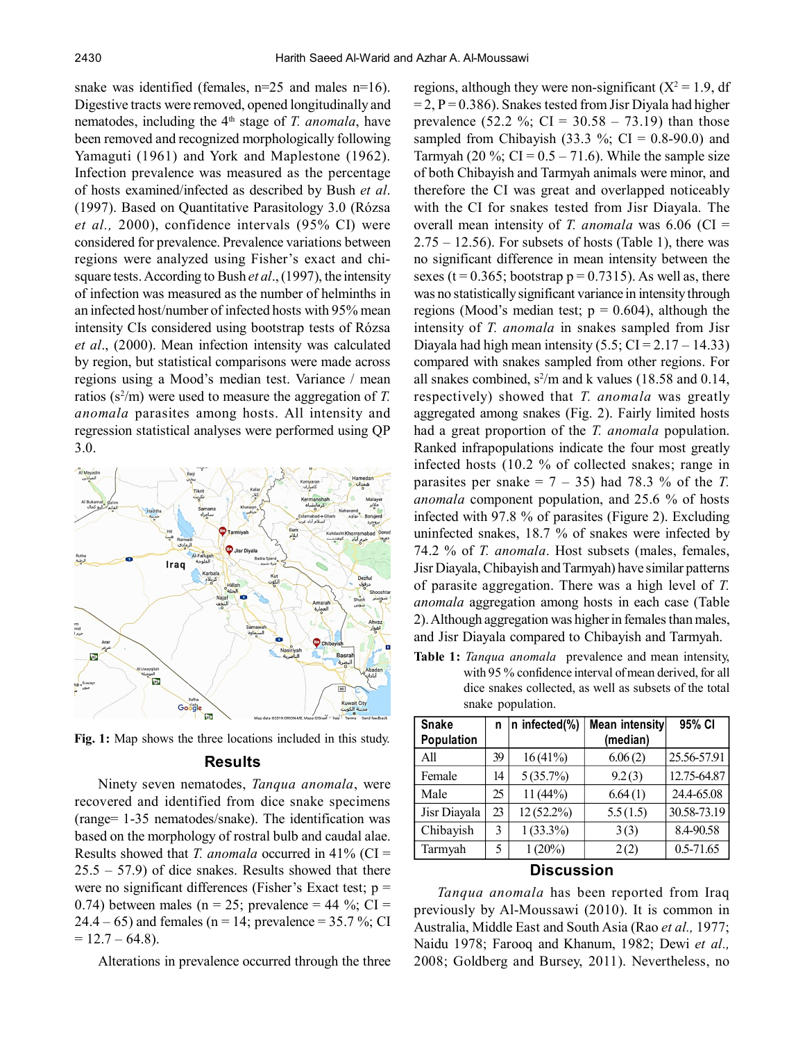snake was identified (females,  $n=25$  and males  $n=16$ ). Digestive tracts were removed, opened longitudinally and nematodes, including the 4<sup>th</sup> stage of *T. anomala*, have been removed and recognized morphologically following Yamaguti (1961) and York and Maplestone (1962). Infection prevalence was measured as the percentage of hosts examined/infected as described by Bush *et al*. (1997). Based on Quantitative Parasitology 3.0 (Rózsa *et al.,* 2000), confidence intervals (95% CI) were considered for prevalence. Prevalence variations between regions were analyzed using Fisher's exact and chisquare tests. According to Bush *et al*., (1997), the intensity of infection was measured as the number of helminths in an infected host/number of infected hosts with 95% mean intensity CIs considered using bootstrap tests of Rózsa *et al*., (2000). Mean infection intensity was calculated by region, but statistical comparisons were made across regions using a Mood's median test. Variance / mean ratios  $(s^2/m)$  were used to measure the aggregation of *T*. *anomala* parasites among hosts. All intensity and regression statistical analyses were performed using QP 3.0.



**Fig. 1:** Map shows the three locations included in this study.

#### **Results**

Ninety seven nematodes, *Tanqua anomala*, were recovered and identified from dice snake specimens (range= 1-35 nematodes/snake). The identification was based on the morphology of rostral bulb and caudal alae. Results showed that *T. anomala* occurred in 41% (CI =  $25.5 - 57.9$ ) of dice snakes. Results showed that there were no significant differences (Fisher's Exact test;  $p =$ 0.74) between males (n = 25; prevalence = 44 %; CI = 24.4 – 65) and females (n = 14; prevalence =  $35.7\%$ ; CI  $= 12.7 - 64.8$ ).

Alterations in prevalence occurred through the three

regions, although they were non-significant  $(X^2 = 1.9)$ , df  $= 2$ , P = 0.386). Snakes tested from Jisr Diyala had higher prevalence (52.2 %; CI =  $30.58 - 73.19$ ) than those sampled from Chibayish (33.3 %; CI =  $0.8-90.0$ ) and Tarmyah (20 %;  $CI = 0.5 - 71.6$ ). While the sample size of both Chibayish and Tarmyah animals were minor, and therefore the CI was great and overlapped noticeably with the CI for snakes tested from Jisr Diayala. The overall mean intensity of *T. anomala* was 6.06 (CI =  $2.75 - 12.56$ ). For subsets of hosts (Table 1), there was no significant difference in mean intensity between the sexes ( $t = 0.365$ ; bootstrap  $p = 0.7315$ ). As well as, there was no statistically significant variance in intensity through regions (Mood's median test;  $p = 0.604$ ), although the intensity of *T. anomala* in snakes sampled from Jisr Diayala had high mean intensity  $(5.5; CI = 2.17 - 14.33)$ compared with snakes sampled from other regions. For all snakes combined,  $s^2/m$  and k values (18.58 and 0.14, respectively) showed that *T. anomala* was greatly aggregated among snakes (Fig. 2). Fairly limited hosts had a great proportion of the *T. anomala* population. Ranked infrapopulations indicate the four most greatly infected hosts (10.2 % of collected snakes; range in parasites per snake  $= 7 - 35$ ) had 78.3 % of the *T*. *anomala* component population, and 25.6 % of hosts infected with 97.8 % of parasites (Figure 2). Excluding uninfected snakes, 18.7 % of snakes were infected by 74.2 % of *T. anomala*. Host subsets (males, females, Jisr Diayala, Chibayish and Tarmyah) have similar patterns of parasite aggregation. There was a high level of *T. anomala* aggregation among hosts in each case (Table 2). Although aggregation was higher in females than males, and Jisr Diayala compared to Chibayish and Tarmyah.

**Table 1:** *Tanqua anomala* prevalence and mean intensity, with 95 % confidence interval of mean derived, for all dice snakes collected, as well as subsets of the total snake population.

| <b>Snake</b>      | n  | n infected(%) | Mean intensity | 95% CI      |  |
|-------------------|----|---------------|----------------|-------------|--|
| Population        |    |               | (median)       |             |  |
| All               | 39 | 16(41%)       | 6.06(2)        | 25.56-57.91 |  |
| Female            | 14 | 5(35.7%)      | 9.2(3)         | 12.75-64.87 |  |
| Male              | 25 | 11(44%)       | 6.64(1)        | 24.4-65.08  |  |
| Jisr Diayala      | 23 | $12(52.2\%)$  | 5.5(1.5)       | 30.58-73.19 |  |
| Chibayish         | 3  | $1(33.3\%)$   | 3(3)           | 8.4-90.58   |  |
| Tarmyah           | 5  | $1(20\%)$     | 2(2)           | 0.5-71.65   |  |
| <b>Diaguesian</b> |    |               |                |             |  |

#### **Discussion**

*Tanqua anomala* has been reported from Iraq previously by Al-Moussawi (2010). It is common in Australia, Middle East and South Asia (Rao *et al.,* 1977; Naidu 1978; Farooq and Khanum, 1982; Dewi *et al.,* 2008; Goldberg and Bursey, 2011). Nevertheless, no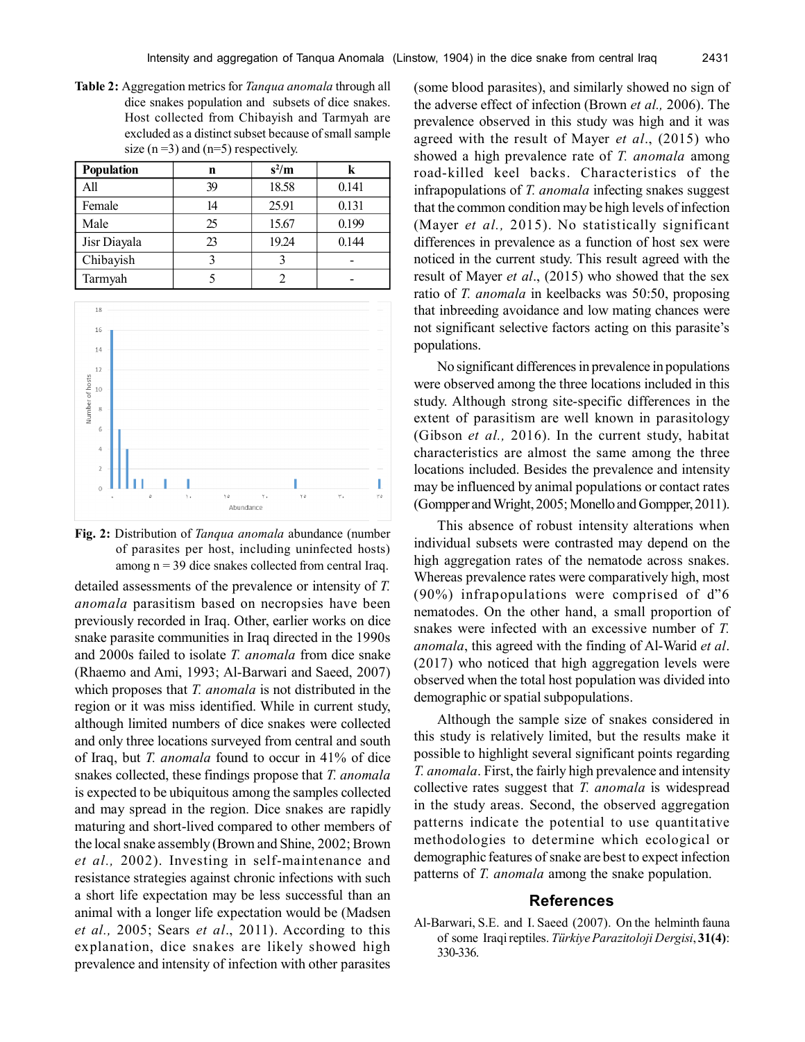**Table 2:** Aggregation metrics for *Tanqua anomala* through all dice snakes population and subsets of dice snakes. Host collected from Chibayish and Tarmyah are excluded as a distinct subset because of small sample size  $(n=3)$  and  $(n=5)$  respectively.

| <b>Population</b> | n  | $s^2/m$ | k     |
|-------------------|----|---------|-------|
| All               | 39 | 18.58   | 0.141 |
| Female            | 14 | 25.91   | 0.131 |
| Male              | 25 | 15.67   | 0.199 |
| Jisr Diayala      | 23 | 19.24   | 0.144 |
| Chibayish         | 3  |         |       |
| Tarmyah           |    |         |       |



**Fig. 2:** Distribution of *Tanqua anomala* abundance (number of parasites per host, including uninfected hosts) among  $n = 39$  dice snakes collected from central Iraq.

detailed assessments of the prevalence or intensity of *T. anomala* parasitism based on necropsies have been previously recorded in Iraq. Other, earlier works on dice snake parasite communities in Iraq directed in the 1990s and 2000s failed to isolate *T. anomala* from dice snake (Rhaemo and Ami, 1993; Al-Barwari and Saeed, 2007) which proposes that *T. anomala* is not distributed in the region or it was miss identified. While in current study, although limited numbers of dice snakes were collected and only three locations surveyed from central and south of Iraq, but *T. anomala* found to occur in 41% of dice snakes collected, these findings propose that *T. anomala* is expected to be ubiquitous among the samples collected and may spread in the region. Dice snakes are rapidly maturing and short-lived compared to other members of the local snake assembly (Brown and Shine, 2002; Brown *et al.,* 2002). Investing in self-maintenance and resistance strategies against chronic infections with such a short life expectation may be less successful than an animal with a longer life expectation would be (Madsen *et al.,* 2005; Sears *et al*., 2011). According to this explanation, dice snakes are likely showed high prevalence and intensity of infection with other parasites

(some blood parasites), and similarly showed no sign of the adverse effect of infection (Brown *et al.,* 2006). The prevalence observed in this study was high and it was agreed with the result of Mayer *et al*., (2015) who showed a high prevalence rate of *T. anomala* among road-killed keel backs. Characteristics of the infrapopulations of *T. anomala* infecting snakes suggest that the common condition may be high levels of infection (Mayer *et al.,* 2015). No statistically significant differences in prevalence as a function of host sex were noticed in the current study. This result agreed with the result of Mayer *et al*., (2015) who showed that the sex ratio of *T. anomala* in keelbacks was 50:50, proposing that inbreeding avoidance and low mating chances were not significant selective factors acting on this parasite's populations.

No significant differences in prevalence in populations were observed among the three locations included in this study. Although strong site-specific differences in the extent of parasitism are well known in parasitology (Gibson *et al.,* 2016). In the current study, habitat characteristics are almost the same among the three locations included. Besides the prevalence and intensity may be influenced by animal populations or contact rates (Gompper and Wright, 2005; Monello and Gompper, 2011).

This absence of robust intensity alterations when individual subsets were contrasted may depend on the high aggregation rates of the nematode across snakes. Whereas prevalence rates were comparatively high, most (90%) infrapopulations were comprised of d"6 nematodes. On the other hand, a small proportion of snakes were infected with an excessive number of *T. anomala*, this agreed with the finding of Al-Warid *et al*. (2017) who noticed that high aggregation levels were observed when the total host population was divided into demographic or spatial subpopulations.

Although the sample size of snakes considered in this study is relatively limited, but the results make it possible to highlight several significant points regarding *T. anomala*. First, the fairly high prevalence and intensity collective rates suggest that *T. anomala* is widespread in the study areas. Second, the observed aggregation patterns indicate the potential to use quantitative methodologies to determine which ecological or demographic features of snake are best to expect infection patterns of *T. anomala* among the snake population.

#### **References**

Al-Barwari, S.E. and I. Saeed (2007). On the helminth fauna of some Iraqi reptiles. *Türkiye Parazitoloji Dergisi*, **31(4)**: 330-336.